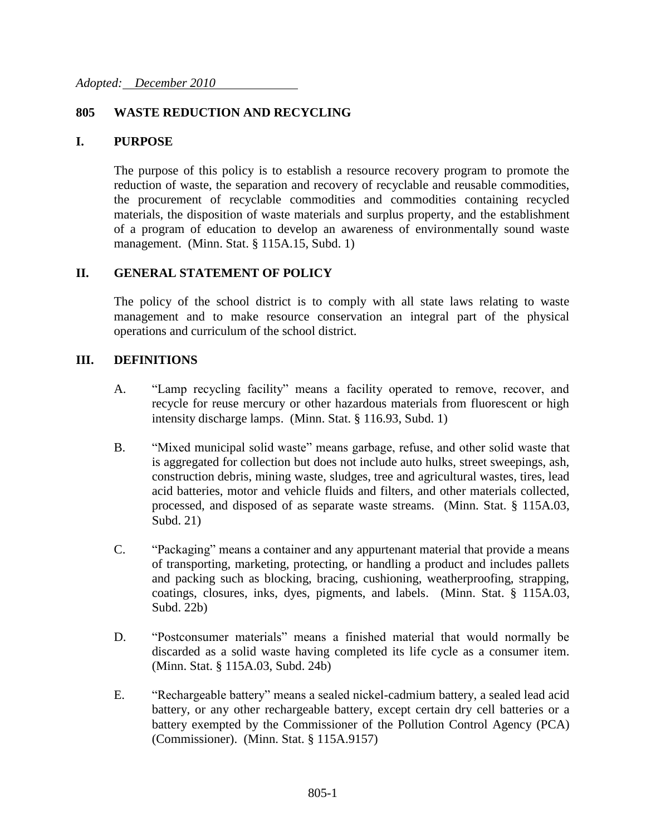### **805 WASTE REDUCTION AND RECYCLING**

#### **I. PURPOSE**

The purpose of this policy is to establish a resource recovery program to promote the reduction of waste, the separation and recovery of recyclable and reusable commodities, the procurement of recyclable commodities and commodities containing recycled materials, the disposition of waste materials and surplus property, and the establishment of a program of education to develop an awareness of environmentally sound waste management. (Minn. Stat. § 115A.15, Subd. 1)

### **II. GENERAL STATEMENT OF POLICY**

The policy of the school district is to comply with all state laws relating to waste management and to make resource conservation an integral part of the physical operations and curriculum of the school district.

#### **III. DEFINITIONS**

- A. "Lamp recycling facility" means a facility operated to remove, recover, and recycle for reuse mercury or other hazardous materials from fluorescent or high intensity discharge lamps. (Minn. Stat. § 116.93, Subd. 1)
- B. "Mixed municipal solid waste" means garbage, refuse, and other solid waste that is aggregated for collection but does not include auto hulks, street sweepings, ash, construction debris, mining waste, sludges, tree and agricultural wastes, tires, lead acid batteries, motor and vehicle fluids and filters, and other materials collected, processed, and disposed of as separate waste streams. (Minn. Stat. § 115A.03, Subd. 21)
- C. "Packaging" means a container and any appurtenant material that provide a means of transporting, marketing, protecting, or handling a product and includes pallets and packing such as blocking, bracing, cushioning, weatherproofing, strapping, coatings, closures, inks, dyes, pigments, and labels. (Minn. Stat. § 115A.03, Subd. 22b)
- D. "Postconsumer materials" means a finished material that would normally be discarded as a solid waste having completed its life cycle as a consumer item. (Minn. Stat. § 115A.03, Subd. 24b)
- E. "Rechargeable battery" means a sealed nickel-cadmium battery, a sealed lead acid battery, or any other rechargeable battery, except certain dry cell batteries or a battery exempted by the Commissioner of the Pollution Control Agency (PCA) (Commissioner). (Minn. Stat. § 115A.9157)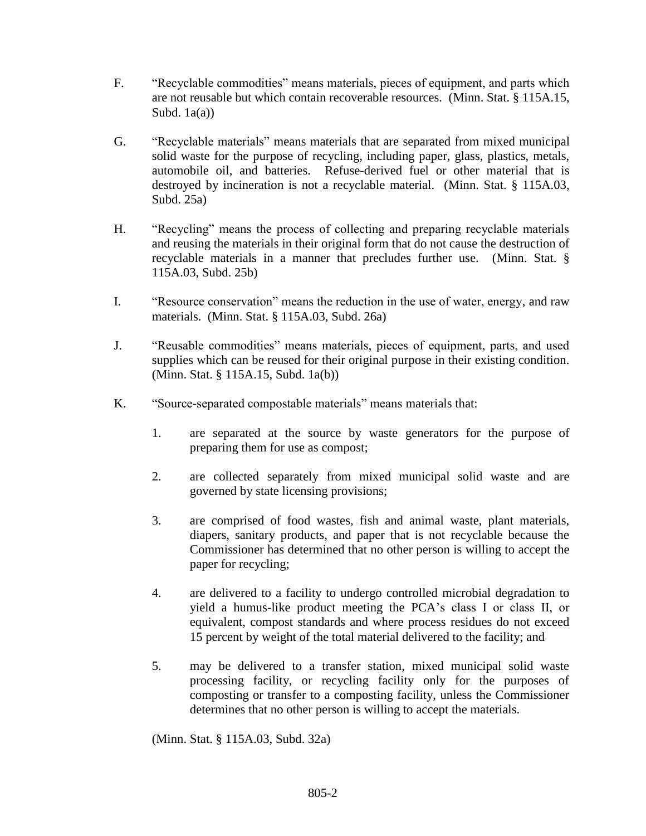- F. "Recyclable commodities" means materials, pieces of equipment, and parts which are not reusable but which contain recoverable resources. (Minn. Stat. § 115A.15, Subd.  $1a(a)$ )
- G. "Recyclable materials" means materials that are separated from mixed municipal solid waste for the purpose of recycling, including paper, glass, plastics, metals, automobile oil, and batteries. Refuse-derived fuel or other material that is destroyed by incineration is not a recyclable material. (Minn. Stat. § 115A.03, Subd. 25a)
- H. "Recycling" means the process of collecting and preparing recyclable materials and reusing the materials in their original form that do not cause the destruction of recyclable materials in a manner that precludes further use. (Minn. Stat. § 115A.03, Subd. 25b)
- I. "Resource conservation" means the reduction in the use of water, energy, and raw materials. (Minn. Stat. § 115A.03, Subd. 26a)
- J. "Reusable commodities" means materials, pieces of equipment, parts, and used supplies which can be reused for their original purpose in their existing condition. (Minn. Stat. § 115A.15, Subd. 1a(b))
- K. "Source-separated compostable materials" means materials that:
	- 1. are separated at the source by waste generators for the purpose of preparing them for use as compost;
	- 2. are collected separately from mixed municipal solid waste and are governed by state licensing provisions;
	- 3. are comprised of food wastes, fish and animal waste, plant materials, diapers, sanitary products, and paper that is not recyclable because the Commissioner has determined that no other person is willing to accept the paper for recycling;
	- 4. are delivered to a facility to undergo controlled microbial degradation to yield a humus-like product meeting the PCA's class I or class II, or equivalent, compost standards and where process residues do not exceed 15 percent by weight of the total material delivered to the facility; and
	- 5. may be delivered to a transfer station, mixed municipal solid waste processing facility, or recycling facility only for the purposes of composting or transfer to a composting facility, unless the Commissioner determines that no other person is willing to accept the materials.

(Minn. Stat. § 115A.03, Subd. 32a)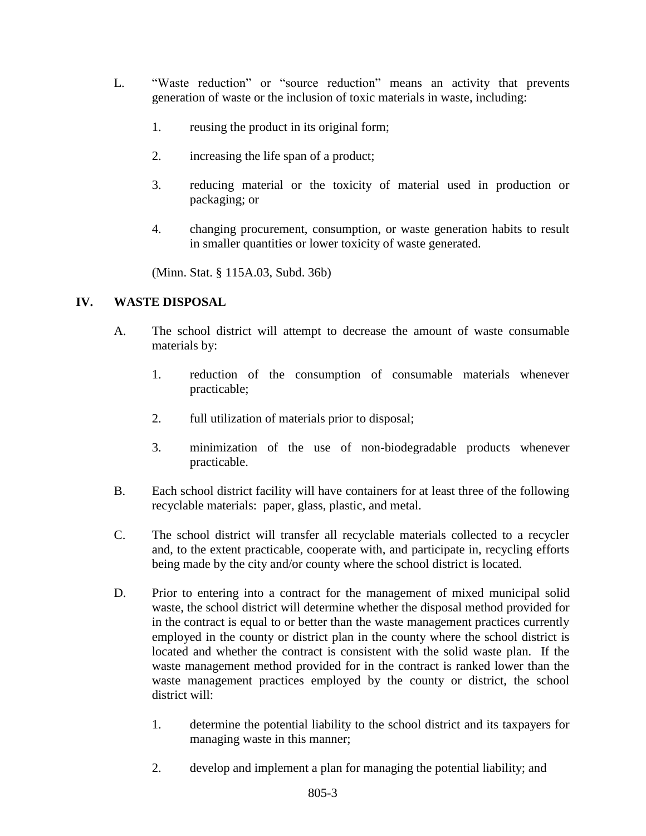- L. "Waste reduction" or "source reduction" means an activity that prevents generation of waste or the inclusion of toxic materials in waste, including:
	- 1. reusing the product in its original form;
	- 2. increasing the life span of a product;
	- 3. reducing material or the toxicity of material used in production or packaging; or
	- 4. changing procurement, consumption, or waste generation habits to result in smaller quantities or lower toxicity of waste generated.

(Minn. Stat. § 115A.03, Subd. 36b)

## **IV. WASTE DISPOSAL**

- A. The school district will attempt to decrease the amount of waste consumable materials by:
	- 1. reduction of the consumption of consumable materials whenever practicable;
	- 2. full utilization of materials prior to disposal;
	- 3. minimization of the use of non-biodegradable products whenever practicable.
- B. Each school district facility will have containers for at least three of the following recyclable materials: paper, glass, plastic, and metal.
- C. The school district will transfer all recyclable materials collected to a recycler and, to the extent practicable, cooperate with, and participate in, recycling efforts being made by the city and/or county where the school district is located.
- D. Prior to entering into a contract for the management of mixed municipal solid waste, the school district will determine whether the disposal method provided for in the contract is equal to or better than the waste management practices currently employed in the county or district plan in the county where the school district is located and whether the contract is consistent with the solid waste plan. If the waste management method provided for in the contract is ranked lower than the waste management practices employed by the county or district, the school district will:
	- 1. determine the potential liability to the school district and its taxpayers for managing waste in this manner;
	- 2. develop and implement a plan for managing the potential liability; and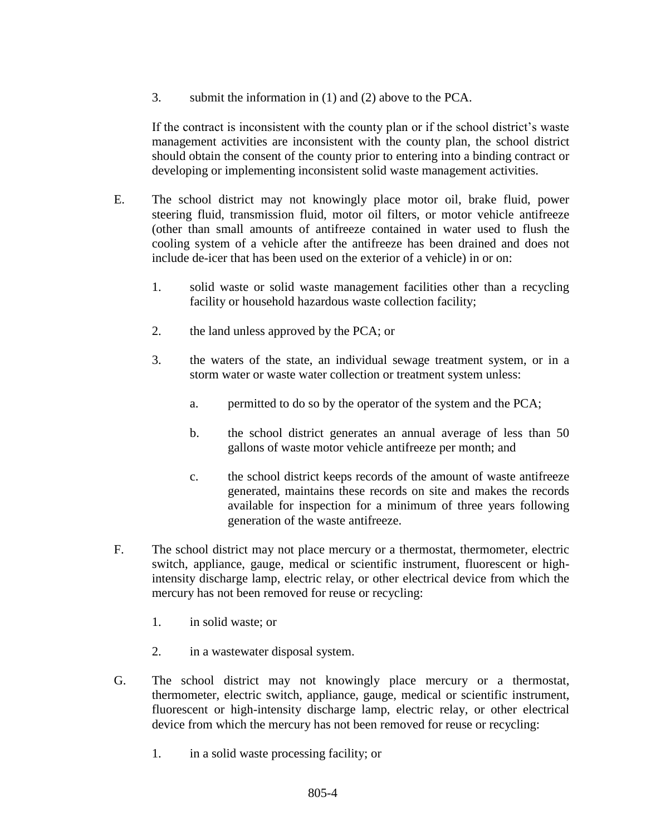3. submit the information in (1) and (2) above to the PCA.

If the contract is inconsistent with the county plan or if the school district's waste management activities are inconsistent with the county plan, the school district should obtain the consent of the county prior to entering into a binding contract or developing or implementing inconsistent solid waste management activities.

- E. The school district may not knowingly place motor oil, brake fluid, power steering fluid, transmission fluid, motor oil filters, or motor vehicle antifreeze (other than small amounts of antifreeze contained in water used to flush the cooling system of a vehicle after the antifreeze has been drained and does not include de-icer that has been used on the exterior of a vehicle) in or on:
	- 1. solid waste or solid waste management facilities other than a recycling facility or household hazardous waste collection facility;
	- 2. the land unless approved by the PCA; or
	- 3. the waters of the state, an individual sewage treatment system, or in a storm water or waste water collection or treatment system unless:
		- a. permitted to do so by the operator of the system and the PCA;
		- b. the school district generates an annual average of less than 50 gallons of waste motor vehicle antifreeze per month; and
		- c. the school district keeps records of the amount of waste antifreeze generated, maintains these records on site and makes the records available for inspection for a minimum of three years following generation of the waste antifreeze.
- F. The school district may not place mercury or a thermostat, thermometer, electric switch, appliance, gauge, medical or scientific instrument, fluorescent or highintensity discharge lamp, electric relay, or other electrical device from which the mercury has not been removed for reuse or recycling:
	- 1. in solid waste; or
	- 2. in a wastewater disposal system.
- G. The school district may not knowingly place mercury or a thermostat, thermometer, electric switch, appliance, gauge, medical or scientific instrument, fluorescent or high-intensity discharge lamp, electric relay, or other electrical device from which the mercury has not been removed for reuse or recycling:
	- 1. in a solid waste processing facility; or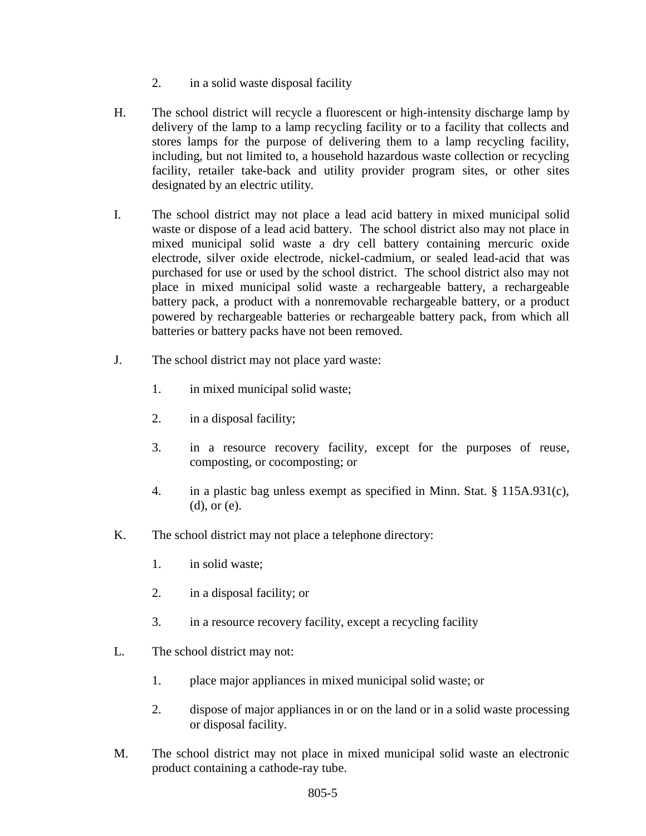- 2. in a solid waste disposal facility
- H. The school district will recycle a fluorescent or high-intensity discharge lamp by delivery of the lamp to a lamp recycling facility or to a facility that collects and stores lamps for the purpose of delivering them to a lamp recycling facility, including, but not limited to, a household hazardous waste collection or recycling facility, retailer take-back and utility provider program sites, or other sites designated by an electric utility.
- I. The school district may not place a lead acid battery in mixed municipal solid waste or dispose of a lead acid battery. The school district also may not place in mixed municipal solid waste a dry cell battery containing mercuric oxide electrode, silver oxide electrode, nickel-cadmium, or sealed lead-acid that was purchased for use or used by the school district. The school district also may not place in mixed municipal solid waste a rechargeable battery, a rechargeable battery pack, a product with a nonremovable rechargeable battery, or a product powered by rechargeable batteries or rechargeable battery pack, from which all batteries or battery packs have not been removed.
- J. The school district may not place yard waste:
	- 1. in mixed municipal solid waste;
	- 2. in a disposal facility;
	- 3. in a resource recovery facility, except for the purposes of reuse, composting, or cocomposting; or
	- 4. in a plastic bag unless exempt as specified in Minn. Stat. § 115A.931(c), (d), or (e).
- K. The school district may not place a telephone directory:
	- 1. in solid waste;
	- 2. in a disposal facility; or
	- 3. in a resource recovery facility, except a recycling facility
- L. The school district may not:
	- 1. place major appliances in mixed municipal solid waste; or
	- 2. dispose of major appliances in or on the land or in a solid waste processing or disposal facility.
- M. The school district may not place in mixed municipal solid waste an electronic product containing a cathode-ray tube.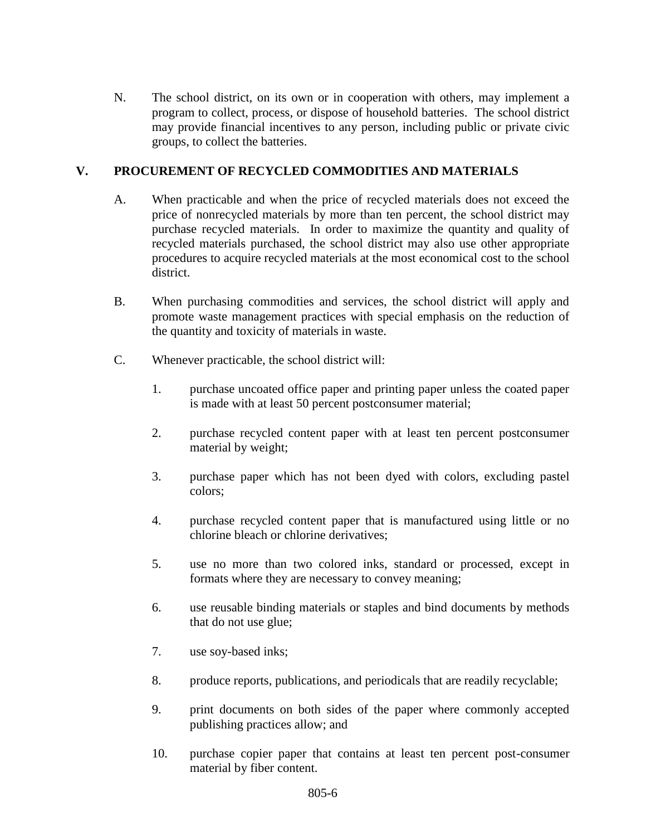N. The school district, on its own or in cooperation with others, may implement a program to collect, process, or dispose of household batteries. The school district may provide financial incentives to any person, including public or private civic groups, to collect the batteries.

# **V. PROCUREMENT OF RECYCLED COMMODITIES AND MATERIALS**

- A. When practicable and when the price of recycled materials does not exceed the price of nonrecycled materials by more than ten percent, the school district may purchase recycled materials. In order to maximize the quantity and quality of recycled materials purchased, the school district may also use other appropriate procedures to acquire recycled materials at the most economical cost to the school district.
- B. When purchasing commodities and services, the school district will apply and promote waste management practices with special emphasis on the reduction of the quantity and toxicity of materials in waste.
- C. Whenever practicable, the school district will:
	- 1. purchase uncoated office paper and printing paper unless the coated paper is made with at least 50 percent postconsumer material;
	- 2. purchase recycled content paper with at least ten percent postconsumer material by weight;
	- 3. purchase paper which has not been dyed with colors, excluding pastel colors;
	- 4. purchase recycled content paper that is manufactured using little or no chlorine bleach or chlorine derivatives;
	- 5. use no more than two colored inks, standard or processed, except in formats where they are necessary to convey meaning;
	- 6. use reusable binding materials or staples and bind documents by methods that do not use glue;
	- 7. use soy-based inks;
	- 8. produce reports, publications, and periodicals that are readily recyclable;
	- 9. print documents on both sides of the paper where commonly accepted publishing practices allow; and
	- 10. purchase copier paper that contains at least ten percent post-consumer material by fiber content.